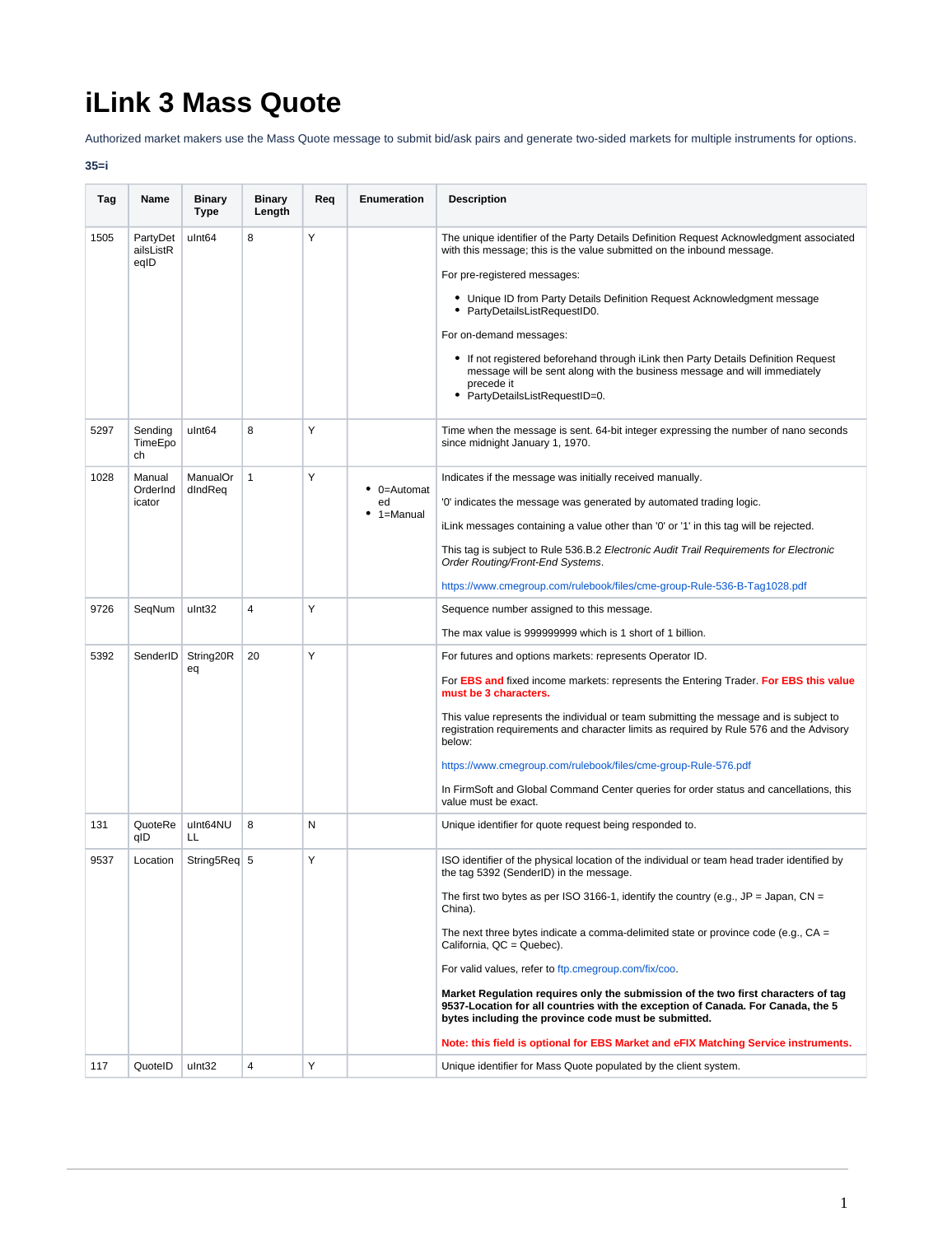## **iLink 3 Mass Quote**

Authorized market makers use the Mass Quote message to submit bid/ask pairs and generate two-sided markets for multiple instruments for options.

## **35=i**

| Tag  | Name                          | <b>Binary</b><br>Type    | <b>Binary</b><br>Length | Req | <b>Enumeration</b>                          | <b>Description</b>                                                                                                                                                                                                                                                                                                                                                                                                                                                                                                                                                                                                                                                                                                                               |
|------|-------------------------------|--------------------------|-------------------------|-----|---------------------------------------------|--------------------------------------------------------------------------------------------------------------------------------------------------------------------------------------------------------------------------------------------------------------------------------------------------------------------------------------------------------------------------------------------------------------------------------------------------------------------------------------------------------------------------------------------------------------------------------------------------------------------------------------------------------------------------------------------------------------------------------------------------|
| 1505 | PartyDet<br>ailsListR<br>eqID | ulnt <sub>64</sub>       | 8                       | Y   |                                             | The unique identifier of the Party Details Definition Request Acknowledgment associated<br>with this message; this is the value submitted on the inbound message.<br>For pre-registered messages:<br>• Unique ID from Party Details Definition Request Acknowledgment message<br>• PartyDetailsListRequestID0.<br>For on-demand messages:<br>• If not registered beforehand through iLink then Party Details Definition Request<br>message will be sent along with the business message and will immediately<br>precede it<br>• PartyDetailsListRequestID=0.                                                                                                                                                                                     |
| 5297 | Sending<br>TimeEpo<br>ch      | ulnt <sub>64</sub>       | 8                       | Υ   |                                             | Time when the message is sent. 64-bit integer expressing the number of nano seconds<br>since midnight January 1, 1970.                                                                                                                                                                                                                                                                                                                                                                                                                                                                                                                                                                                                                           |
| 1028 | Manual<br>OrderInd<br>icator  | ManualOr<br>dIndReq      | $\mathbf{1}$            | Υ   | $\bullet$ 0=Automat<br>ed<br>$• 1 =$ Manual | Indicates if the message was initially received manually.<br>'0' indicates the message was generated by automated trading logic.<br>iLink messages containing a value other than '0' or '1' in this tag will be rejected.<br>This tag is subject to Rule 536.B.2 Electronic Audit Trail Requirements for Electronic<br>Order Routing/Front-End Systems.<br>https://www.cmegroup.com/rulebook/files/cme-group-Rule-536-B-Tag1028.pdf                                                                                                                                                                                                                                                                                                              |
| 9726 | SeqNum                        | ulnt32                   | $\overline{4}$          | Y   |                                             | Sequence number assigned to this message.<br>The max value is 999999999 which is 1 short of 1 billion.                                                                                                                                                                                                                                                                                                                                                                                                                                                                                                                                                                                                                                           |
| 5392 |                               | SenderID String20R<br>eq | 20                      | Y   |                                             | For futures and options markets: represents Operator ID.<br>For EBS and fixed income markets: represents the Entering Trader. For EBS this value<br>must be 3 characters.<br>This value represents the individual or team submitting the message and is subject to<br>registration requirements and character limits as required by Rule 576 and the Advisory<br>below:<br>https://www.cmegroup.com/rulebook/files/cme-group-Rule-576.pdf<br>In FirmSoft and Global Command Center queries for order status and cancellations, this<br>value must be exact.                                                                                                                                                                                      |
| 131  | QuoteRe<br>qID                | ulnt64NU<br>LL           | 8                       | Ν   |                                             | Unique identifier for quote request being responded to.                                                                                                                                                                                                                                                                                                                                                                                                                                                                                                                                                                                                                                                                                          |
| 9537 | Location                      | String5Req 5             |                         | Y   |                                             | ISO identifier of the physical location of the individual or team head trader identified by<br>the tag 5392 (SenderID) in the message.<br>The first two bytes as per ISO 3166-1, identify the country (e.g., $JP = Japan$ , $CN =$<br>China).<br>The next three bytes indicate a comma-delimited state or province code (e.g., $CA =$<br>California, QC = Quebec).<br>For valid values, refer to ftp.cmegroup.com/fix/coo.<br>Market Regulation requires only the submission of the two first characters of tag<br>9537-Location for all countries with the exception of Canada. For Canada, the 5<br>bytes including the province code must be submitted.<br>Note: this field is optional for EBS Market and eFIX Matching Service instruments. |
| 117  | QuotelD                       | ulnt32                   | 4                       | Y   |                                             | Unique identifier for Mass Quote populated by the client system.                                                                                                                                                                                                                                                                                                                                                                                                                                                                                                                                                                                                                                                                                 |